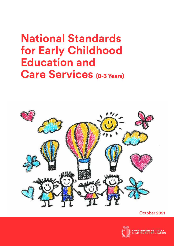# **National Standards for Early Childhood Education and Care Services** (0-3 Years)



October 2021



<mark>GOVERNMENT OF MALTA</mark><br>MINISTRY FOR EDUCATION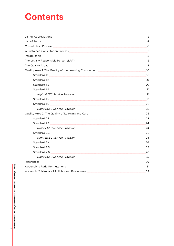## **Contents**

|                                                                                                                | 3              |  |  |
|----------------------------------------------------------------------------------------------------------------|----------------|--|--|
|                                                                                                                | $\overline{4}$ |  |  |
|                                                                                                                | 6              |  |  |
|                                                                                                                | 7              |  |  |
|                                                                                                                | 8              |  |  |
|                                                                                                                | 12             |  |  |
|                                                                                                                | -13            |  |  |
| Quality Area 1: The Quality of the Learning Environment [100011] [100011] [100011] [100011] [100011] [100011]  | 16             |  |  |
| Standard 1.1                                                                                                   | 16             |  |  |
|                                                                                                                | 20             |  |  |
|                                                                                                                | 20             |  |  |
|                                                                                                                | 21             |  |  |
|                                                                                                                | 21             |  |  |
| Standard 1.5                                                                                                   | 21             |  |  |
|                                                                                                                | 22             |  |  |
|                                                                                                                | 22             |  |  |
| Quality Area 2: The Quality of Learning and Care [198] [198] [198] [198] [198] [198] [198] [198] [198] [198] [ | 23             |  |  |
| Standard 2.1                                                                                                   | 23             |  |  |
| Standard 2.2                                                                                                   | 24             |  |  |
|                                                                                                                | 24             |  |  |
|                                                                                                                | 25             |  |  |
|                                                                                                                |                |  |  |
|                                                                                                                | 26             |  |  |
| Standard 2.5                                                                                                   | 27             |  |  |
|                                                                                                                |                |  |  |
|                                                                                                                |                |  |  |
| References                                                                                                     | 29             |  |  |
|                                                                                                                | 31             |  |  |
| Appendix 2: Manual of Policies and Procedures                                                                  | 32             |  |  |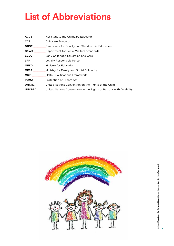# **List of Abbreviations**

| <b>ACCE</b>                                                                                                                                                                                                                         | Assistant to the Childcare Educator                                              |
|-------------------------------------------------------------------------------------------------------------------------------------------------------------------------------------------------------------------------------------|----------------------------------------------------------------------------------|
| <b>CCE</b>                                                                                                                                                                                                                          | Childcare Educator                                                               |
|                                                                                                                                                                                                                                     | <b>DQSE</b> Directorate for Quality and Standards in Education                   |
|                                                                                                                                                                                                                                     | <b>DSWS</b> Department for Social Welfare Standards                              |
|                                                                                                                                                                                                                                     | <b>ECEC</b> Early Childhood Education and Care                                   |
|                                                                                                                                                                                                                                     | <b>LRP</b> Legally Responsible Person                                            |
|                                                                                                                                                                                                                                     | <b>MFED</b> Ministry for Education                                               |
|                                                                                                                                                                                                                                     | <b>MFSS</b> Ministry for Family and Social Solidarity                            |
| <b>MQF</b> POST POST OF THE STATE STATE STATE STATE STATE STATE STATE STATE STATE STATE STATE STATE STATE STATE STATE STATE STATE STATE STATE STATE STATE STATE STATE STATE STATE STATE STATE STATE STATE STATE STATE STATE STATE S | Malta Qualifications Framework                                                   |
|                                                                                                                                                                                                                                     | <b>POMA</b> Protection of Minors Act                                             |
|                                                                                                                                                                                                                                     | <b>UNCRC</b> United Nations Convention on the Rights of the Child                |
|                                                                                                                                                                                                                                     | <b>UNCRPD</b> United Nations Convention on the Rights of Persons with Disability |
|                                                                                                                                                                                                                                     |                                                                                  |



National Standards for Early Childhood Education and Care Services (0-3 Years) **National Standards for Early Childhood Education and Care Services (0-3 Years)**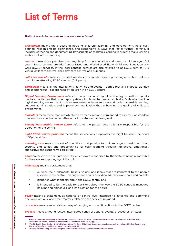## **List of Terms**

#### **The list of terms in this document are to be interpreted as follows<sup>1</sup> :**

*assessment* means the process of noticing children's learning and development, holistically defined, recognising its significance, and responding in ways that foster further learning. It includes gathering and documenting key aspects of children's learning in order to make learning visible and inform planning.

*centres* mean those premises used regularly for the education and care of children aged 0-3 years. These centres provide Centre-Based and Work-Based Early Childhood Education and Care (ECEC) services. In the local context, centres are also referred to as ECEC centres (0-3 years), childcare centres, child day care centres and nurseries.

*childcare educator* refers to an adult who has a designated role of providing education and care to children attending ECEC centres (0-3 years).

*curriculum* means all the interactions, activities and events – both direct and indirect, planned and spontaneous - experienced by children in an ECEC centre.

*Digital Learning Environment* refers to the provision of digital technology as well as digitally mediated activities that when appropriately implemented enhance children's development. A digital learning environment in childcare centres includes services and tools that enable learning, support administration, and improve communication thus enhancing the quality of childcare programmes.

*indicators* mean those features which can be measured and correspond to a particular standard to allow the evaluation of whether or not the standard is being met.

*Legally Responsible Person (LRP)* refers to the person who is legally responsible for the operation of the centre.

*night ECEC service provision* means the service which operates overnight between the hours of 10pm and 5am.

*nurturing care* means the set of conditions that provide for children's good health, nutrition, security and safety, and opportunities for early learning through interactive, emotionally supportive and responsive caregiving<sup>2</sup>.

**parent** refers to the person/s or entity which is/are recognised by the State as being responsible for the care and upbringing of the child<sup>3</sup>.

*philosophy* means a statement that:

- outlines the fundamental beliefs, values, and ideals that are important to the people involved in the centre – management, adults providing education and care and parents;
- identifies what is special about the ECEC centre; and
- is intended to be the basis for decisions about the way the ECEC centre is managed. its aims and objectives, and its direction for the future.

**policy** means a statement, at national or centre level, intended to influence and determine decisions, actions, and other matters related to the services provided.

**procedure** means an established way of carrying out specific actions in the ECEC centre.

*process* means a goal-directed, interrelated series of actions, events, procedures, or steps.

<sup>1</sup> Some of the terms have been adapted from *Licensing Criteria for Early Childhood Education and Care Services 2008 and Early Childhood Education Curriculum Framework (As amended June 2018),* (pp. 5-7).

<sup>2</sup> World Health Organisation (2018). Nurturing Care for Early Childhood Development: A Framework for Helping Children Survive and Thrive to Transform Health and Human Potential, p.18, 47.

<sup>3</sup> Ministry for the Family, Children's Rights and Social Solidarity (2017) National Children's Policy.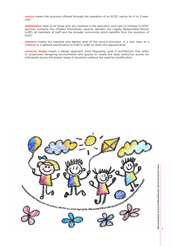*service* means the provision offered through the operation of an ECEC centre for 0 to 3-yearolds.

*stakeholders* refer to all those who are invested in the education and care of children in ECEC services, primarily the children themselves, parents, families, the Legally Responsible Person (LRP), all members of staff and the broader community which benefits from the provision of ECEC.

*standard* means the required and agreed level of the service provision. It is also seen as a criterion or a defined specification to fulfil in order to reach the required level.

**universal design** means a design approach most frequently used in architecture that refers to proactively designing environments and spaces to create the least restrictive access for individuals across the widest range of situations without the need for modification.

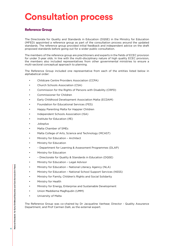# **Consultation process**

### Reference Group

The Directorate for Quality and Standards in Education (DQSE) in the Ministry for Education (MFED) appointed a reference group as part of the consultation process around the updated standards. The reference group provided initial feedback and independent advice on the draft proposed standards before going out for a wider public consultation.

The members of the reference group are practitioners and experts in the fields of ECEC provision for under 3-year olds. In line with the multi-disciplinary nature of high quality ECEC provision, the members also included representatives from other governmental ministries to ensure a multi-sectoral conceptual approach to planning.

The Reference Group included one representative from each of the entities listed below in alphabetical order:

- Childcare Centre Providers Association (CCPA)
- Church Schools Association (CSA)
- Commission for the Rights of Persons with Disability (CRPD)
- Commissioner for Children
- Early Childhood Development Association Malta (ECDAM)
- Foundation for Educational Services (FES)
- Happy Parenting Malta for Happier Children
- Independent Schools Association (ISA)
- Institute for Education (IfE)
- Jobsplus
- Malta Chamber of SMEs
- Malta College of Arts, Science and Technology (MCAST)
- Ministry for Education Architect
- Ministry for Education
- – Department for Learning & Assessment Programmes (DLAP)
- Ministry for Education
- – Directorate for Quality & Standards in Education (DQSE)
- Ministry for Education Legal Advisor
- Ministry for Education National Literacy Agency (NLA)
- Ministry for Education National School Support Services (NSSS)
- Ministry for Family, Children's Rights and Social Solidarity
- Ministry for Health
- Ministry for Energy, Enterprise and Sustainable Development
- Union Ħaddiema Magħqudin (UĦM)
- University of Malta

The Reference Group was co-chaired by Dr Jacqueline Vanhear, Director - Quality Assurance Department, and Prof Carmen Dalli, as the external expert.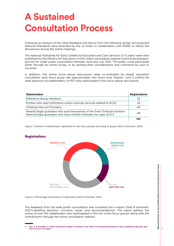## **A Sustained Consultation Process**

Following an analysis of the initial feedback and advice from the reference group, the proposed National Standards were amended by the co-chairs in collaboration with DQSE to reflect the discussions during the online meetings.

The National Standards for Early Childhood Education and Care Services (0-3 years) were then published by the Ministry for Education on the online consultation website (www.konsultazzjoni. gov.mt) for wider public consultation between June and July 2021. The public could participate either through an online survey, or by sending their considerations and comments by post or via email.

In addition, five online focus group discussions were co-ordinated by expert education consultants; each focus group was approximately two hours long. Figures 1 and 2 outline the wide spectrum of stakeholders (n=157) who participated in the focus group discussions.

| <b>Stakeholders</b>                                                                                                                            | <b>Registrations</b> |
|------------------------------------------------------------------------------------------------------------------------------------------------|----------------------|
| Reference Group members                                                                                                                        | 23                   |
| Entities who lead institutions and/or provide services related to ECEC                                                                         | 22                   |
| Childcare Service Providers                                                                                                                    | 63                   |
| Parents/legal guardians who avail themselves of the Free Childcare Scheme<br>Parents/legal guardians who have children between the ages of 0-3 | 49                   |
|                                                                                                                                                | 157                  |

*Figure 1: Number of stakeholders registered for the focus groups according to group (Gatt & Schembri, 2021)*



### Registrations

*Figure 2: Percentage distribution of registrants (Gatt & Schembri, 2021)*

The feedback from the wide public consultation was compiled into a report (Gatt & Schembri, 2021<sup>4</sup>) detailing reactions, concerns, issues, and recommendations. The report gathers the voices of over 150 stakeholders who participated in the five online focus groups along with the contributions through the online consultation website.

Gatt, S. & Schembri, H. (2021) Consultation Report in relation to the draft of the National Standards for Farly Childhood Education and  $\overline{A}$ Care Services (0-3 years).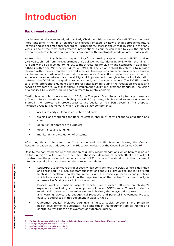## **Introduction**

### **Background context**

It is internationally acknowledged that Early Childhood Education and Care (ECEC) is the most important time in the life of children and directly impacts on how a child approaches future learning and social-emotional challenges. Furthermore, research shows that investing in the early years is one of the most cost-effective interventions a country can make to yield the highest economic return in human capital when compared with investments made at later stages in life.

As from the 1st of July 2016, the responsibility for external quality assurance of ECEC services (0-3 years) shifted from the Department of Social Welfare Standards (DSWS) within the Ministry for Family and Social Solidarity (MFSS) to the Directorate for Quality and Standards in Education (DQSE) within the Ministry for Education (MFED). The vision behind this shift is to provide children with a more comprehensive and seamless learning and care experience, while ensuring a coherent and coordinated framework for governance. The shift also reflects a commitment to achieve a balance between accountability and improvement through enhanced collaboration between the DQSE as the quality assurance body and service providers. The DQSE's role is to provide appropriate guidance and professional learning during the regulation process and service providers are key stakeholders to implement quality improvement standards. The vision of a quality ECEC sector requires commitment by all stakeholders.

Quality is a complex phenomenon. In 2018, the European Commission adopted a proposal for a Council Recommendation on high quality ECEC systems, which aimed to support Member States in their efforts to improve access to and quality of their ECEC systems. This proposal included a Quality Framework, which identified 5 key components:

- access to early childhood education and care;
- training and working conditions of staff in charge of early childhood education and care;
- definition of appropriate curricula;
- governance and funding;
- monitoring and evaluation of systems.

After negotiations between the Commission and the EU Member States, the Council Recommendation was adopted by the Education Ministers at the Council on 22 May 20195.

Despite the contested nature of the notion of quality, recommendations which help to produce and assure high quality, have been identified. These include measures which affect the quality of the structure, the process and the outcomes of ECEC provision. The standards in this document intentionally take into consideration these recommendations:

- Structural quality<sup>6</sup> consists of aspects which consider how the ECEC centre is designed and organised. This includes staff qualifications and skills, group size, the ratio of staff to children, health and safety requirements, and the policies, procedures and practices which bear a direct impact on the organisation of the centre. Structural quality is addressed in Quality Area 1 of this document.
- Process quality<sup>7</sup> considers aspects which have a direct influence on children's experiences, wellbeing and development within an ECEC centre. These include the relationships between staff members and children, the integrated approach to care and learning, day-to-day pedagogical practices, and parental involvement. Process quality is addressed in this document in Quality Area 2.
- Outcomes quality<sup>8</sup> includes cognitive, linguistic, social, emotional and physical/ health developmental outcomes. The standards in this document are all intended to contribute towards the achievement of outcomes quality.

<sup>5</sup> Further information available online: Early childhood education and care | Education and Training (europa.eu)

<sup>6</sup> See Taguma, Litjens, and Makowiecki, 2013.

<sup>7</sup> See Taguma, Litjens, and Makowiecki, 2013.

<sup>8</sup> See Taguma, Litjens, and Makowiecki, 2013.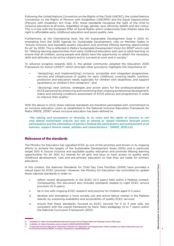Following the United Nations Convention on the Rights of the Child (UNCRC), the United Nations Convention on the Rights of Persons with Disabilities (UNCRPD) and the Equal Opportunities (Persons with Disability) Act (Cap. 413), these standards recognise the right of the child to inclusive education at all levels, regardless of age, gender, race, ethnicity, beliefs and skin colour. This is in line with the European Pillar of Social Rights which underscores that children have the right to affordable early childhood education and good quality care.

Furthermore, at the international level, the UN Sustainable Development Goal 4 (SDG 4), emanating from the 2030 Agenda for Sustainable Development, calls on Member States to "ensure inclusive and equitable quality education and promote lifelong learning opportunities for all" by 2030. This is reflected in Malta's Sustainable Development Vision for 2050<sup>9</sup> which calls for "lifelong learning opportunities from early childhood education and care to adult learning, to ensure that all children, young people and adults have the opportunity to obtain the necessary skills and attitudes to be active citizens and to succeed at work and in society."

To advance progress towards SDG 4, the global community adopted the Education 2030 Framework for Action (2015)<sup>10</sup>, which amongst other provisions, highlights the importance of:

- "design[ing] and implement[ing] inclusive, accessible and integrated programmes, services and infrastructure of quality for early childhood, covering health, nutrition, protection and education needs, especially for children with disabilities, and support [guardians] as children's first caregivers"; and
- "devis[ing] clear policies, strategies and action plans for the professionalisation of ECCE personnel by enhancing and monitoring their ongoing professional development, status and working conditions assessment of ECCE policies and programmes in order to improve their quality."

With the above in mind, these national standards are therefore permeated with commitment to an inclusive education vision as established in the National Inclusive Education Framework for Malta (MEDE, 2019)<sup>11</sup> where inclusive education has been defined as:

*"the valuing and acceptance of diversity, to its value and the rights of learners to not only attend mainstream schools, but also to belong as valued members through active participation and the elimination of barriers limiting the participation and achievement of all learners, respect diverse needs, abilities and characteristics." (MEDE, 2019 p.6).*

### Relevance of the standards

The Ministry for Education has signalled ECEC as one of the priorities and drivers in its ongoing efforts to achieve the targets of the Sustainable Development Goals (SDG) and in particular target SDG 4: Ensure inclusive and equitable quality education and promote lifelong learning opportunities for all. SDG 4.2 intends for all girls and boys to have access to quality early childhood development, care and pre-primary education so that they are ready for primary education.

In this context, the National Standards for Child Day Care Facilities (2006) have provided a robust basis for ECEC provision. However, the Ministry for Education has committed to update these national standards in order to:

- i. reflect recent developments in the ECEC (0-3 years) field within a Maltese context. Consequently, this document also includes standards related to night ECEC service provision (0-3 years);
- ii. be in line with ongoing ECEC research and practice for children aged 0-3 years;
- iii. develop and strengthen a more socially just and active labour market in the Maltese islands, by sustaining availability and accessibility of quality ECEC services;
- iv. ensure that these standards, focused on ECEC services for 0 to 3 year olds, are consistent with the overall framework for Early Years pedagogy (0 to 7 years) within the National Curriculum Framework (2012).

<sup>9</sup> Available at: https://sustainabledevelopmentcms.gov.mt/en/Pages/National-Strategy/Vision-2050.aspx

<sup>10</sup> Available at: https://unesdoc.unesco.org/ark:/48223/pf0000245656

<sup>11</sup> A National Inclusive Education Framework (Ministry for Education and Employment, 2019) available at: https://education.gov.mt/ inclusion/Documents/MEDE\_Inclusion\_Framework\_Sep2019web.pdf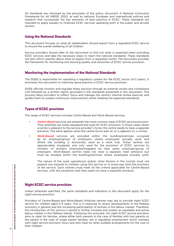All standards are informed by the principles of the policy document *A National Curriculum Framework for All (MEDE, 2012)*, as well as national, European and international policies and research that incorporate the key elements of best practice in ECEC. These standards are intended to apply equally to childcare ECEC services operating both in the public and private sectors.

### Using the National Standards

This document focuses on what all stakeholders should expect from a regulated ECEC service to ensure the overall wellbeing of all children.

Service providers should refer to this document to find out what is expected when providing ECEC services and take the necessary steps to reach the national standards. These standards will also inform parents about what to expect from a regulated centre. The document provides the framework for monitoring and assuring quality and outcomes of ECEC service provision.

### Monitoring the implementation of the National Standards

The DQSE is responsible for operating a regulatory system for the ECEC sector (0-3 years). It promotes this document to maximise good practice in ECEC service provision.

DQSE officials monitor and regulate these services through an external review and compliance visit followed by a written report grounded in the standards presented in this document. This process helps providers to reflect, focus and manage the centre's internal review exercise, and guides them to sustain continuous improvement whilst meeting the expected standards.

### Types of ECEC provision

The range of ECEC services includes Centre-Based and Work-Based services.

- *Centre-Based* services are presently the most common type of ECEC service provision. Their premises are solely equipped and used for ECEC provision. In those cases where a centre is adjacent to the service provider's home, the centre needs to have a separate entrance. The same applies when the centre forms part of, or is adjacent to, a school.
- *Work-Based* services are provided within the building/premises occupied by an employer/group of employers, where employees actually work and where the building is exclusively used as a work hub. These centres are appropriately equipped, and only used for the provision of ECEC services to children of workers employed/engaged by that same employer/group of employers. Work-Based centres need not have a separate main entrance but must be situated within the building/premises where employees actually work.

The nature of the work operation/s and/or other factors in the vicinity must not present any hazards to children using this service or in some way limit the provision of the service. Such centres must meet all the criteria applicable for Centre-Based services, with the exception that they need not have a separate entrance.

### Night ECEC service provision

*Unless otherwise specified, the same standards and indicators in this document apply for the night service provision.*

Providers of Centre-Based and Work-Based childcare centres may opt to provide night ECEC service for children aged 0-3 years. This is in response to recent developments in the Maltese economy in general and the increasing participation of women in the labour market. Therefore, the introduction of this service is aimed to further increase and sustain an equitable and active labour market in the Maltese islands. Following this principle, the night ECEC service provision aims to cater for families, where either both parents in the case of families with two parents or the parent in the case of single parent families, are in regulated employment which overlaps with night service provision hours and who have no other suitable arrangements for the care of their children.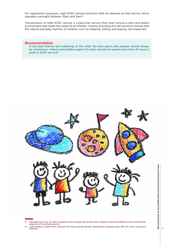For registration purposes, night ECEC service provision shall be deemed as that service which operates overnight between 10pm and 5am12.

The provision of night ECEC service is a particular service that must nurture a calm and restful environment that meets the needs of all children. Centres providing this service are to ensure that the natural everyday rhythms of children, such as sleeping, eating, and playing, are respected.

### Recommendation

*In the best interest and wellbeing of the child, the time spent with parents should always be maximised. Infants and toddlers aged 0-3 years should not spend more than 45 hours a week in ECEC service*<sup>13</sup>*.*



<sup>12</sup> Operating hours may vary due to exigencies and as agreed upon by the centre, keeping in mind the wellbeing of every child and the exigencies of the working parent/s.

<sup>13</sup> Lowe Vandell, D. (2004). Early child care: The known and the unknown. Merrill-Palmer Quarterly, 50(3), 387-414. Irvine: University of California.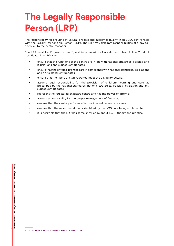# **The Legally Responsible Person (LRP)**

The responsibility for ensuring structural, process and outcomes quality in an ECEC centre rests with the Legally Responsible Person (LRP). The LRP may delegate responsibilities at a day-today level to the centre manager.

The LRP must be 18 years or over<sup>14</sup>, and in possession of a valid and clean Police Conduct Certificate. The LRP is to:

- ensure that the functions of the centre are in line with national strategies, policies, and legislations and subsequent updates;
- ensure that the physical premises are in compliance with national standards, legislations and any subsequent updates:
- ensure that members of staff recruited meet the eligibility criteria;
- assume legal responsibility for the provision of children's learning and care, as prescribed by the national standards, national strategies, policies, legislation and any subsequent updates;
- represent the registered childcare centre and has the power of attorney;
- assume accountability for the proper management of finances;
- oversee that the centre performs effective internal review processes;
- oversee that the recommendations identified by the DQSE are being implemented;
- it is desirable that the LRP has some knowledge about ECEC theory and practice.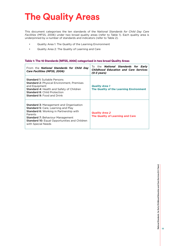# **The Quality Areas**

This document categorises the ten standards of the *National Standards for Child Day Care Facilities* (MFSS, 2006) under two broad quality areas (refer to Table 1). Each quality area is underpinned by a number of standards and indicators (refer to Table 2).

- Quality Area 1: The Quality of the Learning Environment
- Quality Area 2: The Quality of Learning and Care

### Table 1: The 10 Standards (MFSS, 2006) categorised in two broad Quality Areas

| From the <b>National Standards for Child Day</b><br><b>Care Facilities (MFSS, 2006)</b>                                                                                                                                                                                            | To the <b>National Standards for Early</b><br><b>Childhood Education and Care Services</b><br>$(0-3 \text{ years})$ |
|------------------------------------------------------------------------------------------------------------------------------------------------------------------------------------------------------------------------------------------------------------------------------------|---------------------------------------------------------------------------------------------------------------------|
| <b>Standard 1:</b> Suitable Persons<br><b>Standard 2: Physical Environment, Premises</b><br>and Equipment<br><b>Standard 4: Health and Safety of Children</b><br><b>Standard 8: Child Protection</b><br><b>Standard 9: Food and Drink</b>                                          | <b>Quality Area 1</b><br>The Quality of the Learning Environment                                                    |
| <b>Standard 3: Management and Organisation</b><br><b>Standard 5:</b> Care, Learning and Play<br><b>Standard 6:</b> Working in Partnership with<br>Parents<br><b>Standard 7: Behaviour Management</b><br><b>Standard 10: Equal Opportunities and Children</b><br>with Special Needs | <b>Quality Area 2</b><br><b>The Quality of Learning and Care</b>                                                    |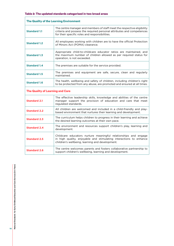| The Quality of the Learning Environment |                                                                                                                                                                                                    |  |
|-----------------------------------------|----------------------------------------------------------------------------------------------------------------------------------------------------------------------------------------------------|--|
| <b>Standard 1.1</b>                     | The centre manager and members of staff meet the respective eligibility<br>criteria and possess the required personal attributes and competences<br>for their specific roles and responsibilities. |  |
| <b>Standard 1.2</b>                     | All employees working with children are to have the official Protection<br>of Minors Act (POMA) clearance.                                                                                         |  |
| <b>Standard 1.3</b>                     | Appropriate child-to-childcare educator ratios are maintained, and<br>the maximum number of children allowed as per required status for<br>operation, is not exceeded.                             |  |
| <b>Standard 1.4</b>                     | The premises are suitable for the service provided.                                                                                                                                                |  |
| <b>Standard 1.5</b>                     | The premises and equipment are safe, secure, clean and regularly<br>maintained.                                                                                                                    |  |
| <b>Standard 1.6</b>                     | The health, wellbeing and safety of children, including children's right<br>to be protected from any abuse, are promoted and ensured at all times.                                                 |  |
| <b>The Quality of Learning and Care</b> |                                                                                                                                                                                                    |  |
| <b>Standard 2.1</b>                     | The effective leadership skills, knowledge and abilities of the centre<br>manager support the provision of education and care that meet<br>regulated standards.                                    |  |
| <b>Standard 2.2</b>                     | All children are welcomed and included in a child-friendly and play-<br>based environment that nurtures their learning and development.                                                            |  |
| <b>Standard 2.3</b>                     | The curriculum helps children to progress in their learning and achieve<br>the desired learning outcomes at their own pace.                                                                        |  |
| <b>Standard 2.4</b>                     | The environment and resources support children's play, learning and<br>development.                                                                                                                |  |
| <b>Standard 2.5</b>                     | Childcare educators nurture meaningful relationships and engage<br>in high quality, enjoyable and stimulating interactions to enhance<br>children's wellbeing, learning and development.           |  |
| <b>Standard 2.6</b>                     | The centre welcomes parents and fosters collaborative partnership to<br>support children's wellbeing, learning and development.                                                                    |  |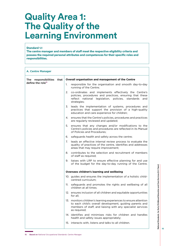### **Quality Area 1: The Quality of the Learning Environment**

### Standard 1.1

The centre manager and members of staff meet the respective eligibility criteria and possess the required personal attributes and competences for their specific roles and responsibilities.

| <b>A. Centre Manager</b>        |                                                                                                                                                                                                             |  |
|---------------------------------|-------------------------------------------------------------------------------------------------------------------------------------------------------------------------------------------------------------|--|
| that<br>The<br>responsibilities | Overall organisation and management of the Centre                                                                                                                                                           |  |
| define the role <sup>15</sup>   | 1.<br>responsible for the organisation and smooth day-to-day<br>running of the Centre;                                                                                                                      |  |
|                                 | co-ordinates and implements effectively the Centre's<br>2.<br>policies, procedures and practices, ensuring that these<br>reflect national legislation, policies, standards and<br>strategies;               |  |
|                                 | leads the implementation of systems, procedures and<br>3.<br>practices that support the provision of a high-quality<br>education and care experience for children;                                          |  |
|                                 | 4. ensures that the Centre's policies, procedures and practices<br>are regularly reviewed and updated;                                                                                                      |  |
|                                 | 5.<br>ensures that any changes and/or modifications to the<br>Centre's policies and procedures are reflected in its Manual<br>of Policies and Procedures:                                                   |  |
|                                 | safeguards health and safety across the centre;<br>6.                                                                                                                                                       |  |
|                                 | 7.<br>leads an effective internal review process to evaluate the<br>quality of practices of the centre, identifies and addresses<br>areas that may require improvement;                                     |  |
|                                 | 8. contributes to the selection and recruitment of members<br>of staff as required;                                                                                                                         |  |
|                                 | 9. liaises with LRP to ensure effective planning for and use<br>of the budget for the day-to-day running of the Centre.                                                                                     |  |
|                                 | Oversees children's learning and wellbeing                                                                                                                                                                  |  |
|                                 | 10. guides and ensures the implementation of a holistic child-<br>centred curriculum:                                                                                                                       |  |
|                                 | safeguards and promotes the rights and wellbeing of all<br>11.<br>children at all times;                                                                                                                    |  |
|                                 | 12. ensures inclusion of all children and equitable opportunities<br>for all:                                                                                                                               |  |
|                                 | 13. monitors children's learning experiences to ensure attention<br>to each child's overall development, guiding parents and<br>members of staff, and liaising with any specialist services<br>as required; |  |
|                                 | 14. identifies and minimises risks for children and handles<br>health and safety issues appropriately;                                                                                                      |  |
|                                 | 15. interacts with, listens and talks to all children.                                                                                                                                                      |  |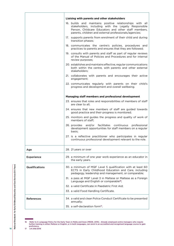|                       | Liaising with parents and other stakeholders                                                                                                                                                                                       |  |
|-----------------------|------------------------------------------------------------------------------------------------------------------------------------------------------------------------------------------------------------------------------------|--|
|                       | 16. builds and maintains positive relationships with all<br>stakeholders, including with the Legally Responsible<br>Person, Childcare Educators and other staff members,<br>parents, children and external professionals/agencies; |  |
|                       | 17. supports parents from enrolment of their child and during<br>transition phases;                                                                                                                                                |  |
|                       | 18. communicates the centre's policies, procedures and<br>practices to parents and ensures that they are followed;                                                                                                                 |  |
|                       | 19. consults with parents and staff as part of regular reviews<br>of the Manual of Policies and Procedures and for internal<br>review purposes;                                                                                    |  |
|                       | 20. establishes and maintains effective, regular communications<br>both within the centre, with parents and other external<br>stakeholders:                                                                                        |  |
|                       | 21. collaborates with parents and encourages their active<br>engagement;                                                                                                                                                           |  |
|                       | 22. communicates regularly with parents on their child's<br>progress and development and overall wellbeing.                                                                                                                        |  |
|                       | Managing staff members and professional development                                                                                                                                                                                |  |
|                       | 23. ensures that roles and responsibilities of members of staff<br>are clear to all:                                                                                                                                               |  |
|                       | 24. ensures that new members of staff are guided towards<br>good practice and their progress is monitored;                                                                                                                         |  |
|                       | 25. monitors and guides the progress and quality of work of<br>members of staff;                                                                                                                                                   |  |
|                       | 26. provides<br>and/or facilitates<br>continuous<br>professional<br>development opportunities for staff members on a regular<br>basis;                                                                                             |  |
|                       | 27. is a reflective practitioner who participates in regular<br>continuous professional development relevant to the role.                                                                                                          |  |
| Age                   | 28. 21 years or over                                                                                                                                                                                                               |  |
| <b>Experience</b>     | 29. a minimum of one year work experience as an educator in<br>the early years.                                                                                                                                                    |  |
| <b>Qualifications</b> | 30. a minimum of MQF Level 5 qualification with at least 60<br>ECTS in Early Childhood Education and Care, including<br>pedagogy, leadership and management, or comparable;                                                        |  |
|                       | 31. a pass at MQF Level 3 in Maltese or Maltese as a Foreign<br>Language and English or comparable <sup>16</sup> ;                                                                                                                 |  |
|                       | 32. a valid Certificate in Paediatric First Aid;                                                                                                                                                                                   |  |
|                       | 33. a valid Food Handling Certificate.                                                                                                                                                                                             |  |
| <b>References</b>     | 34. a valid and clean Police Conduct Certificate to be presented<br>annually;                                                                                                                                                      |  |
|                       | 35. a self-declaration form <sup>17</sup> .                                                                                                                                                                                        |  |

<sup>16</sup> Refer to A Language Policy for the Early Years in Malta and Gozo (MEDE, 2015). Already employed centre managers who require<br>further training in either Maltese or English, or in both languages, can enrol in an accredite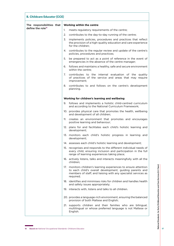| <b>B. Childcare Educator (CCE)</b> |                                  |                                                                                                                                                                                                             |
|------------------------------------|----------------------------------|-------------------------------------------------------------------------------------------------------------------------------------------------------------------------------------------------------------|
| The responsibilities that          | <b>Working within the centre</b> |                                                                                                                                                                                                             |
| define the role <sup>18</sup>      | 1.                               | meets regulatory requirements of the centre;                                                                                                                                                                |
|                                    | 2.                               | contributes to the day-to-day running of the centre;                                                                                                                                                        |
|                                    | 3.                               | implements policies, procedures and practices that reflect<br>the provision of a high-quality education and care experience<br>for the children;                                                            |
|                                    |                                  | 4. contributes to the regular review and update of the centre's<br>policies, procedures and practices;                                                                                                      |
|                                    | 5.                               | be prepared to act as a point of reference in the event of<br>emergencies in the absence of the centre manager;                                                                                             |
|                                    | 6.                               | follows and maintains a healthy, safe and secure environment<br>within the centre:                                                                                                                          |
|                                    | 7.                               | contributes to the internal evaluation of the quality<br>of practices of the service and areas that may require<br>improvement;                                                                             |
|                                    | 8.                               | contributes to and follows on the centre's development<br>planning.                                                                                                                                         |
|                                    |                                  | Working for children's learning and wellbeing                                                                                                                                                               |
|                                    |                                  | 9. follows and implements a holistic child-centred curriculum<br>and according to the National Curriculum Framework;                                                                                        |
|                                    |                                  | 10. provides physical care that promotes the health, wellbeing<br>and development of all children;                                                                                                          |
|                                    | 11.                              | creates an environment that promotes and encourages<br>positive learning and behaviour;                                                                                                                     |
|                                    |                                  | 12. plans for and facilitates each child's holistic learning and<br>development;                                                                                                                            |
|                                    |                                  | 13. monitors each child's holistic progress in learning and<br>development;                                                                                                                                 |
|                                    |                                  | 14. assesses each child's holistic learning and development;                                                                                                                                                |
|                                    |                                  | 15. recognises and responds to the different individual needs of<br>every child, ensuring inclusion and participation in the full<br>range of learning experiences taking place;                            |
|                                    |                                  | 16. actively listens, talks and interacts meaningfully with all the<br>children;                                                                                                                            |
|                                    |                                  | 17. monitors children's learning experiences to ensure attention<br>to each child's overall development, guiding parents and<br>members of staff, and liaising with any specialist services as<br>required; |
|                                    |                                  | 18. identifies and minimises risks for children and handles health<br>and safety issues appropriately;                                                                                                      |
|                                    |                                  | 19. interacts with, listens and talks to all children.                                                                                                                                                      |
|                                    |                                  | 20. provides a language-rich environment, ensuring the balanced<br>provision of both Maltese and English;                                                                                                   |
|                                    |                                  | 21. supports children and their families who are bilingual,<br>multilingual or whose preferred language is not Maltese or<br>English.                                                                       |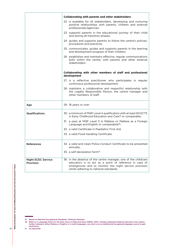|                                        | <b>Collaborating with parents and other stakeholders</b>                                                                                                                                                                     |
|----------------------------------------|------------------------------------------------------------------------------------------------------------------------------------------------------------------------------------------------------------------------------|
|                                        | 22. is available for all stakeholders, developing and nurturing<br>positive relationships with parents, children and external<br>professionals/agencies;                                                                     |
|                                        | 23. supports parents in the educational journey of their child<br>and during all transition phases;                                                                                                                          |
|                                        | 24. guides and supports parents to follow the centre's policies,<br>procedures and practices;                                                                                                                                |
|                                        | 25. communicates, guides and supports parents in the learning<br>and development progress of their children;                                                                                                                 |
|                                        | 26. establishes and maintains effective, regular communications<br>both within the centre, with parents and other external<br>stakeholders.                                                                                  |
|                                        | Collaborating with other members of staff and professional<br>development                                                                                                                                                    |
|                                        | 27. is a reflective practitioner who participates in regular<br>continuous professional development;                                                                                                                         |
|                                        | 28. maintains a collaborative and respectful relationship with<br>the Legally Responsible Person, the centre manager and<br>other members of staff.                                                                          |
| Age                                    | 29. 18 years or over                                                                                                                                                                                                         |
| Qualifications                         | 30. a minimum of MQF Level 4 qualification with at least 60 ECTS<br>in Early Childhood Education and Care <sup>19</sup> or comparable;                                                                                       |
|                                        | 31. a pass at MQF Level 3 in Maltese or Maltese as a Foreign<br>Language and English or comparabile <sup>20</sup> ;                                                                                                          |
|                                        | 32. a valid Certificate in Paediatric First Aid:                                                                                                                                                                             |
|                                        | 33. a valid Food Handling Certificate.                                                                                                                                                                                       |
| <b>References</b>                      | 34. a valid and clean Police Conduct Certificate to be presented<br>annually;                                                                                                                                                |
|                                        | 35. a self-declaration form <sup>21</sup> .                                                                                                                                                                                  |
| <b>Night ECEC Service</b><br>Provision | 36. in the absence of the centre manager, one of the childcare<br>educators is to act as a point of reference in case of<br>emergencies and to monitor the night service provision<br>whilst adhering to national standards. |

19 Based on National Occupational Standards: Childcare Educator.

20 Refer to A Language Policy for the Early Years in Malta and Gozo (MEDE, 2015). Already employed childcare educators who require<br>further training in either Maltese or English, or in both languages, can enrol in an accred proficiency.

21 LN 206/2016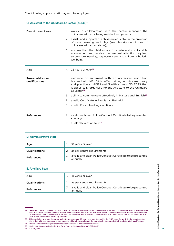| C. Assistant to the Childcare Educator (ACCE) <sup>22</sup> |                                                                                                                                                                                                                                                                            |  |
|-------------------------------------------------------------|----------------------------------------------------------------------------------------------------------------------------------------------------------------------------------------------------------------------------------------------------------------------------|--|
| Description of role                                         | works in collaboration with the centre manager, the<br>1.<br>childcare educator being assisted and parents;                                                                                                                                                                |  |
|                                                             | 2 <sub>1</sub><br>assists and supports the childcare educator in the provision<br>of care, learning and play (see description of role of<br>childcare educators above);                                                                                                    |  |
|                                                             | ensures that the children are in a safe and comfortable<br>3.<br>environment and receive the personal attention required<br>to promote learning, respectful care, and children's holistic<br>wellbeing.                                                                    |  |
| Age                                                         | 4. 23 years or over <sup>23</sup>                                                                                                                                                                                                                                          |  |
| Pre-requisites and<br>qualifications                        | 5. evidence of enrolment with an accredited institution<br>licensed with MFHEA to offer training in childcare theory<br>and practice at MQF Level 3 with at least 30 ECTS that<br>is specifically organised for the Assistant to the Childcare<br>Educator <sup>24</sup> : |  |
|                                                             | 6. ability to communicate effectively in Maltese and English <sup>25</sup> ;                                                                                                                                                                                               |  |
|                                                             | a valid Certificate in Paediatric First Aid;<br>7.                                                                                                                                                                                                                         |  |
|                                                             | 8. a valid Food Handling certificate.                                                                                                                                                                                                                                      |  |
| <b>References</b>                                           | 9. a valid and clean Police Conduct Certificate to be presented<br>annually:                                                                                                                                                                                               |  |
|                                                             | 10. a self-declaration form <sup>26</sup> .                                                                                                                                                                                                                                |  |

| D. Administrative Staff |                                                                                |
|-------------------------|--------------------------------------------------------------------------------|
| Age                     | 18 years or over                                                               |
| <b>Qualifications</b>   | as per centre requirements<br>2.                                               |
| References              | a valid and clean Police Conduct Certificate to be presented<br>3.<br>annually |

| <b>E. Ancillary Staff</b> |                  |                                                              |
|---------------------------|------------------|--------------------------------------------------------------|
| Age                       | 18 years or over |                                                              |
| <b>Qualifications</b>     | 2.               | as per centre requirements                                   |
| References                | annually         | a valid and clean Police Conduct Certificate to be presented |

26 LN206/2016

<sup>22</sup> Assistants to the Childcare Educators (ACCEs) may be employed to assist qualified and approved childcare educators provided that at<br>least 50% of the staff complement are approved childcare educators with an MQF level 4

<sup>23</sup> This regulation provides the opportunity to persons aged 23 years and over to enrol in the MQF Level 3 award. In the long term the aim is that all those employed in this capacity will avail themselves of the opportunity to upgrade their study to a full qualification.

<sup>24</sup> Based on *National Occupational Standards: Assistant to the Childcare Educator.*

<sup>25</sup> Refer to A Language Policy for the Early Years in Malta and Gozo (MEDE, 2015)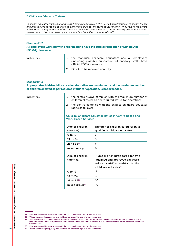#### **F. Childcare Educator Trainee**

*Childcare educator trainees undertaking training leading to an MQF level 4 qualification in childcare theory and practice are not to be counted as part of the child-to-childcare educator ratio. Their role in the centre is linked to the requirements of their course. While on placement at the ECEC centre, childcare educator trainees are to be supervised by a nominated and qualified member of staff.*

#### Standard 1.2 All employees working with children are to have the official Protection of Minors Act (POMA) clearance.

| <b>Indicators</b> | the manager, childcare educators and all employees<br>(including possible subcontracted ancillary staff) have<br>official POMA clearance: |
|-------------------|-------------------------------------------------------------------------------------------------------------------------------------------|
|                   | 2. POMA to be renewed annually.                                                                                                           |

| <b>Standard 1.3</b><br>of children allowed as per required status for operation, is not exceeded. |                                                                                                                        | Appropriate child-to-childcare educator ratios are maintained, and the maximum number                                                         |  |
|---------------------------------------------------------------------------------------------------|------------------------------------------------------------------------------------------------------------------------|-----------------------------------------------------------------------------------------------------------------------------------------------|--|
| <b>Indicators</b>                                                                                 | the centre always complies with the maximum number of<br>1.<br>children allowed, as per required status for operation; |                                                                                                                                               |  |
|                                                                                                   | 2.<br>ratios as follows:                                                                                               | the centre complies with the child-to-childcare educator                                                                                      |  |
|                                                                                                   | <b>Child-to-Childcare Educator Ratios in Centre-Based and</b><br><b>Work-Based Services</b>                            |                                                                                                                                               |  |
|                                                                                                   | Age of children                                                                                                        | Number of children cared for by a                                                                                                             |  |
|                                                                                                   | (months)                                                                                                               | qualified childcare educator                                                                                                                  |  |
|                                                                                                   | $0$ to 12                                                                                                              | 3                                                                                                                                             |  |
|                                                                                                   | 13 to 24                                                                                                               | 5                                                                                                                                             |  |
|                                                                                                   | 25 to 36 <sup>27</sup>                                                                                                 | 6                                                                                                                                             |  |
|                                                                                                   | mixed group <sup>28</sup>                                                                                              | 6                                                                                                                                             |  |
|                                                                                                   | Age of children<br>(months)                                                                                            | Number of children cared for by a<br>qualified and approved childcare<br>educator AND an assistant to the<br>childcare educator <sup>29</sup> |  |
|                                                                                                   | 0 to 12                                                                                                                | 5                                                                                                                                             |  |
|                                                                                                   | 13 to 24                                                                                                               | 8                                                                                                                                             |  |
|                                                                                                   | 25 to $36^{30}$                                                                                                        | 10 <sup>°</sup>                                                                                                                               |  |
|                                                                                                   | mixed group $31$                                                                                                       | 10 <sup>°</sup>                                                                                                                               |  |
|                                                                                                   |                                                                                                                        |                                                                                                                                               |  |

National Standards for Early Childhood Education and Care Services (0-3 Years) **National Standards for Early Childhood Education and Care Services (0-3 Years)**

30 May be extended by a few weeks until the child can be admitted to Kindergarten.<br>31 Within the mixed group, only one child can be under the age of eighteen months.

<sup>27</sup> May be extended by a few weeks until the child can be admitted to Kindergarten.

<sup>28</sup> Within the mixed group, only one child can be under the age of eighteen months.

<sup>29</sup> While every effort is to be made to adhere to the established ratios, exceptional circumstances might require some flexibility in their application. Refer to Appendix 1: *Ratio Permutations.* The limits indicated in this appendix should not be exceeded under any circumstances.

Within the mixed group, only one child can be under the age of eighteen months.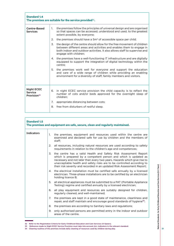| <b>Standard 1.4</b><br>The premises are suitable for the service provided <sup>32</sup> . |                                                                                                                                                                                                                                                          |  |  |  |
|-------------------------------------------------------------------------------------------|----------------------------------------------------------------------------------------------------------------------------------------------------------------------------------------------------------------------------------------------------------|--|--|--|
| <b>Centre-Based</b><br><b>Services</b>                                                    | the premises follow the principles of universal design and are organised<br>$1_{\cdot}$<br>so that spaces can be accessed, understood and used, to the greatest<br>extent possible, by everyone;                                                         |  |  |  |
|                                                                                           | the premises should have a $5m^2$ of accessible space per child;<br>2.                                                                                                                                                                                   |  |  |  |
|                                                                                           | 3. the design of the centre should allow for the free movement of children<br>between different areas and activities and enables them to engage in<br>both indoor and outdoor activities. It also allows staff to supervise and<br>engage with children; |  |  |  |
|                                                                                           | 4. the premises have a well-functioning IT infrastructure and are digitally<br>equipped to support the integration of digital technology within the<br>centre:                                                                                           |  |  |  |
|                                                                                           | 5. the premises work well for everyone and support the education<br>and care of a wide range of children while providing an enabling<br>environment for a diversity of staff, family members and visitors.                                               |  |  |  |
| <b>Night ECEC</b><br><b>Service</b><br>Provision <sup>33</sup>                            | 6. in night ECEC service provision the child capacity is to reflect the<br>number of cots and/or beds approved for the overnight sleep of<br>children;                                                                                                   |  |  |  |
|                                                                                           | 7.<br>appropriate distancing between cots;                                                                                                                                                                                                               |  |  |  |
|                                                                                           | 8.<br>free from disturbers of restful sleep.                                                                                                                                                                                                             |  |  |  |

| <b>Standard 1.5</b><br>The premises and equipment are safe, secure, clean and regularly maintained. |                                                                                                                                                                                                                                                                                                                                                                          |  |  |  |
|-----------------------------------------------------------------------------------------------------|--------------------------------------------------------------------------------------------------------------------------------------------------------------------------------------------------------------------------------------------------------------------------------------------------------------------------------------------------------------------------|--|--|--|
| <b>Indicators</b>                                                                                   | the premises, equipment and resources used within the centre are<br>1.<br>examined and declared safe for use by children and the members of<br>staff;                                                                                                                                                                                                                    |  |  |  |
|                                                                                                     | all resources, including natural resources are used according to safety<br>2.<br>requirements in relation to the children's age and competences;                                                                                                                                                                                                                         |  |  |  |
|                                                                                                     | the centre has a valid Health and Safety Risk Assessment Report<br>3.<br>which is prepared by a competent person and which is updated as<br>necessary and not later than every two years. Hazards which give rise to<br>unacceptable health and safety risks are to be controlled according to<br>their risk severity and recorded in an updated Risk Assessment Report; |  |  |  |
|                                                                                                     | 4. the electrical installation must be certified safe annually by a licensed<br>electrician. Three-phase installations are to be certified by an electrician<br>holding licence B;                                                                                                                                                                                       |  |  |  |
|                                                                                                     | all electrical appliances must be submitted to a PAT (Portable Appliance<br>5.<br>Testing) regime and certified annually by a licensed electrician;                                                                                                                                                                                                                      |  |  |  |
|                                                                                                     | all play equipment and resources are suitably designed for children,<br>6.<br>regularly cleaned, and well-maintained;                                                                                                                                                                                                                                                    |  |  |  |
|                                                                                                     | the premises are kept in a good state of maintenance, cleanliness and<br>7.<br>repair, and staff maintain and encourage good standards of hygiene <sup>34</sup> ;                                                                                                                                                                                                        |  |  |  |
|                                                                                                     | the premises are according to Sanitary laws and regulations;<br>8.                                                                                                                                                                                                                                                                                                       |  |  |  |
|                                                                                                     | only authorised persons are permitted entry in the indoor and outdoor<br>9.<br>areas of the centre.                                                                                                                                                                                                                                                                      |  |  |  |

<sup>32</sup> Refer to the Registration Criteria for Early Childhood Education and Care Services (0-3years).

34 Cleaning routines of the premises include daily cleaning of resources used by children during play.

**21**

**National Standards for Early Childhood Education and Care Services (0-3 Years)**

National Standards for Early Childhood Education and Care Services (0-3 Years)

<sup>33</sup> Reference made to Night ECEC Service Provision must take into account ALL indicators in the relevant standard.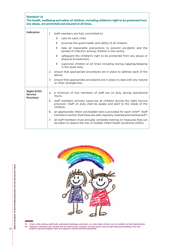| <b>Standard 1.6</b><br>The health, wellbeing and safety of children, including children's right to be protected from<br>any abuse, are promoted and ensured at all times. |                                                                                                                                                                                                                                                                                                                                                                                                                                                                                                                                                                                                                                                                 |  |  |  |
|---------------------------------------------------------------------------------------------------------------------------------------------------------------------------|-----------------------------------------------------------------------------------------------------------------------------------------------------------------------------------------------------------------------------------------------------------------------------------------------------------------------------------------------------------------------------------------------------------------------------------------------------------------------------------------------------------------------------------------------------------------------------------------------------------------------------------------------------------------|--|--|--|
| <b>Indicators</b>                                                                                                                                                         | staff members are fully committed to:<br>1.<br>care for each child;<br>$\sum$<br>promote the good health and safety of all children;<br>$\mathcal{F}$<br>take all reasonable precautions to prevent accidents and the<br>≻<br>spread of infection among children in the centre;<br>safeguard the children's right to be protected from any abuse or<br>⋗<br>physical ill-treatment;<br>supervise children at all times including during napping/sleeping<br>≻<br>in the quiet area;<br>ensure that appropriate procedures are in place to address each of the<br>2.<br>above:<br>3.<br>ensure that appropriate procedures are in place to deal with any natural |  |  |  |
| <b>Night ECEC</b><br><b>Service</b><br>Provision                                                                                                                          | or other emergencies.<br>a minimum of two members of staff are on duty during operational<br>4.<br>hours:<br>staff members actively supervise all children during the night service<br>5.<br>provision. Staff on duty shall be awake and alert to the needs of the<br>children:<br>an appropriate infant cot/toddler bed is provided for each child <sup>35</sup> . Staff<br>6.<br>members monitor that these are safe, regularly cleaned and maintained <sup>36</sup> ;                                                                                                                                                                                        |  |  |  |
|                                                                                                                                                                           | 7.<br>all staff members must annually complete training on measures that can<br>be taken to reduce the risk of Sudden Infant Death Syndrome (SIDS).                                                                                                                                                                                                                                                                                                                                                                                                                                                                                                             |  |  |  |



35 Chairs, sofas, pillows, adult beds, waterbeds, beanbags, pushchairs, car seats, baby recliners are not suitable cot/bed replacements. 36 Nothing is allowed in the cot/bed with the child except a pacifier. Cot/bed sheets must be tight fitting and bedding, linen and children's personal hygienic items are regularly cleaned and well-maintained.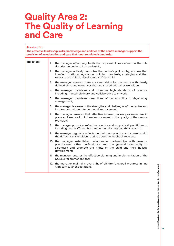### **Quality Area 2: The Quality of Learning and Care**

| <b>Standard 2.1</b><br>The effective leadership skills, knowledge and abilities of the centre manager support the<br>provision of an education and care that meet regulated standards. |                                                                                                                                                                                                                             |  |  |
|----------------------------------------------------------------------------------------------------------------------------------------------------------------------------------------|-----------------------------------------------------------------------------------------------------------------------------------------------------------------------------------------------------------------------------|--|--|
| <b>Indicators</b>                                                                                                                                                                      | the manager effectively fulfils the responsibilities defined in the role<br>1.<br>description outlined in Standard 1.1;                                                                                                     |  |  |
|                                                                                                                                                                                        | the manager actively promotes the centre's philosophy, ensures that<br>2.<br>it reflects national legislation, policies, standards, strategies and that<br>respects the holistic development of the child;                  |  |  |
|                                                                                                                                                                                        | the manager ensures there is a clear vision for the centre with clearly<br>3.<br>defined aims and objectives that are shared with all stakeholders;                                                                         |  |  |
|                                                                                                                                                                                        | the manager maintains and promotes high standards of practice<br>4.<br>including, transdisciplinary and collaborative teamwork;                                                                                             |  |  |
|                                                                                                                                                                                        | 5.<br>the manager maintains clear lines of responsibility in day-to-day<br>management;                                                                                                                                      |  |  |
|                                                                                                                                                                                        | the manager is aware of the strengths and challenges of the centre and<br>6.<br>inspires commitment to continual improvement;                                                                                               |  |  |
|                                                                                                                                                                                        | the manager ensures that effective internal review processes are in<br>7.<br>place and are used to inform improvement in the quality of the service<br>provision;                                                           |  |  |
|                                                                                                                                                                                        | the manager promotes reflective practice and supports all practitioners,<br>8.<br>including new staff members, to continually improve their practice;                                                                       |  |  |
|                                                                                                                                                                                        | the manager regularly reflects on their own practice and consults with<br>9.<br>the different stakeholders, acting upon the feedback received;                                                                              |  |  |
|                                                                                                                                                                                        | 10. the manager establishes collaborative partnerships with parents,<br>practitioners, other professionals and the general community to<br>safeguard and promote the rights of the child and their holistic<br>development; |  |  |
|                                                                                                                                                                                        | 11. the manager ensures the effective planning and implementation of the<br>DQSE's recommendations;                                                                                                                         |  |  |
|                                                                                                                                                                                        | 12. the manager maintains oversight of children's overall progress in line<br>with curricular expectations.                                                                                                                 |  |  |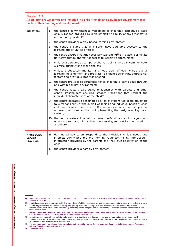| <b>Standard 2.2</b><br>All children are welcomed and included in a child-friendly and play-based environment that<br>nurtures their learning and development. |                                                                                                                                                                                                                                                                                                                  |  |  |  |
|---------------------------------------------------------------------------------------------------------------------------------------------------------------|------------------------------------------------------------------------------------------------------------------------------------------------------------------------------------------------------------------------------------------------------------------------------------------------------------------|--|--|--|
| <b>Indicators</b>                                                                                                                                             | the centre's commitment to welcoming all children irrespective of race,<br>1.<br>colour, gender, language, religion, ethnicity, disability or any other status<br>is abundantly evident <sup>37</sup> ;                                                                                                          |  |  |  |
|                                                                                                                                                               | the centre provides a play-based learning environment;<br>2.                                                                                                                                                                                                                                                     |  |  |  |
|                                                                                                                                                               | the centre ensures that all children have equitable access <sup>38</sup> to the<br>3.<br>learning opportunities offered;                                                                                                                                                                                         |  |  |  |
|                                                                                                                                                               | 4. the centre ensures that the necessary scaffolding <sup>39</sup> is in place to eliminate<br>barriers <sup>40</sup> that might restrict access to learning opportunities;                                                                                                                                      |  |  |  |
|                                                                                                                                                               | 5.<br>children are treated as competent human beings, who can communicate,<br>exercise agency <sup>41</sup> and make choices;                                                                                                                                                                                    |  |  |  |
|                                                                                                                                                               | childcare educators monitor and keep track of each child's overall<br>6.<br>learning, development and progress to enhance strengths, address risk<br>factors and provide support as needed;                                                                                                                      |  |  |  |
|                                                                                                                                                               | the centre provides opportunities for all children to learn about, through<br>7.<br>and within a digital environment;                                                                                                                                                                                            |  |  |  |
|                                                                                                                                                               | the centre fosters partnership relationships with parents and other<br>8.<br>centre stakeholders ensuring smooth transitions that respect the<br>individual characteristics of the child <sup>42</sup> ;                                                                                                         |  |  |  |
|                                                                                                                                                               | 9. the centre operates a designated key carer system. Childcare educators<br>take responsibility of the overall wellbeing and individual needs of each<br>child entrusted in their care. Staff members demonstrate a supportive<br>approach with one another in implementing the designated key carer<br>system; |  |  |  |
|                                                                                                                                                               | 10. the centre fosters links with external professionals and/or agencies <sup>43</sup><br>where appropriate, with a view of optimizing support for the benefit of<br>all children.                                                                                                                               |  |  |  |
| <b>Night ECEC</b><br><b>Service</b><br>Provision                                                                                                              | designated key carers respond to the individual child's needs and<br>11.<br>interests during bedtime and morning routines <sup>44</sup> , taking into account<br>information provided by the parents and their own observation of the<br>child;                                                                  |  |  |  |
|                                                                                                                                                               | 12. the centre provides a homely environment.                                                                                                                                                                                                                                                                    |  |  |  |

37 Refer to *United Nations Convention on the Rights of the Child (UNCRC),* article 2. Refer also to the *Equal Opportunities (Persons with Disability) Act* (Cap.413)

38 equitable access means that every child, at every level of ability, is catered for and has the opportunity to learn in his or her own way.<br>39 scaffolding means the practice of assisting and guiding a child to accomplish 39 *scaffolding* means the practice of assisting and guiding a child to accomplish a task. Scaffolds may be provided by a more<br>knowledgeable adult or child and should vary according to the progress the child is making. Sca

needs of each child. 40 *barriers to learning* means anything that stands in the way of a child being able to learn effectively. Barriers to learning vary widely

42 Transition procedures include child's initial entry to childcare, from one age group to another within the centre, from centre to centre (if applicable) and from centre to kindergarten.

43 Professionals and external agencies may include, but are not limited to: Early Intervention Services, Child Development Assessment Unit and Speech Language Department.

44 See Standard 2.3.

and can be of a linguistic, cultural, emotional, physical nature and so on. 41 *exercise agency* means being able to make choices and decisions to influence events and to have an impact on one's world.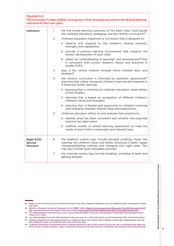| <b>Standard 2.3</b><br>outcomes at their own pace. |    | The curriculum <sup>45</sup> helps children to progress in their learning and achieve the desired learning                                                                                                                                          |
|----------------------------------------------------|----|-----------------------------------------------------------------------------------------------------------------------------------------------------------------------------------------------------------------------------------------------------|
| <b>Indicators</b>                                  | 1. | the five broad learning outcomes of the Early Years Cycle guide<br>the childcare educators' pedagogy and the centre's curriculum <sup>46</sup> ;                                                                                                    |
|                                                    | 2. | childcare educators implement a curriculum that is designed to:                                                                                                                                                                                     |
|                                                    |    | > observe and respond to the children's diverse interests,<br>strengths and capabilities;                                                                                                                                                           |
|                                                    |    | > provide a positive learning environment that respects the<br>holistic development of each child;                                                                                                                                                  |
|                                                    |    | > reflect an understanding of learning <sup>47</sup> and development <sup>48</sup> that<br>is consistent with current research, theory and practices in<br>quality ECEC;                                                                            |
|                                                    | 3. | play is the central medium through which children learn and<br>develop <sup>49</sup> ;                                                                                                                                                              |
|                                                    | 4. | the centre's curriculum is informed by authentic assessment <sup>50</sup><br>practices that notice, recognise children's learning and respond to<br>it fostering further learning:                                                                  |
|                                                    |    | > planning that is informed by childcare educators' observations<br>of the children:                                                                                                                                                                |
|                                                    |    | > planning that is based on recognition of different children's<br>interests, needs and strengths;                                                                                                                                                  |
|                                                    |    | > planning that is flexible and responsive to children's evolving<br>and emerging interests, diverse ideas and dispositions;                                                                                                                        |
|                                                    | 5. | childcare educators reflect on and evaluate their practice to:                                                                                                                                                                                      |
|                                                    |    | > identify what has been successful and whether the expected<br>learning has taken place;                                                                                                                                                           |
|                                                    |    | > scaffold, modify or extend learning experiences to meet the<br>needs of each child in meaningful and relevant ways.                                                                                                                               |
| <b>Night ECEC</b><br><b>Service</b><br>Provision   | 6. | the bedtime routine may include pre-bed soothing rituals like<br>washing the children's faces and hands, brushing of teeth, nappy<br>changing/toileting routines and changing into night wear. This<br>may also include quiet enjoyable activities; |
|                                                    | 7. | the morning routine may include breakfast, brushing of teeth and<br>getting dressed.                                                                                                                                                                |

<sup>45</sup> Refer to List of Terms (p.4) and for further information see Early Childhood Education and Care, National Policy Framework for Malta and Gozo.

<sup>46</sup> Refer to A National Curriculum Framework for All (MEDE, 2012): https://curriculum.gov.mt/en/Resources/The-NCF/Documents/NCF. pdf; *Learning Outcomes Framework, Early Years* (2015): http://www.schoolslearningoutcomes.edu.mt/en/subjects/early-year

<sup>47</sup> An understanding of how learning occurs to ensure that all children can access and experience meaningful learning opportunities (Meyer et al., 2014).

<sup>48</sup> An understanding of how the brain develops in the early years of a child's life (Centre on the Developing Child, Harvard University).

<sup>49</sup> Childcare Educators provide opportunities for a variety of indoor and outdoor play including: creative play, language play, physical play, imaginative play, socio-dramatic play and construction play.

<sup>50</sup> Authentic assessment is assessment done in real-life situations as part of the normal course of the day vs assessment that takes the form of tests in formal situations. Types of authentic assessment may take the form of portfolios and learning notes/stories/journals.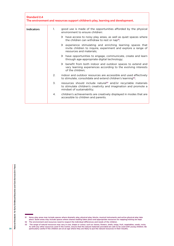| <b>Standard 2.4</b> |    | The environment and resources support children's play, learning and development.                                                                                             |
|---------------------|----|------------------------------------------------------------------------------------------------------------------------------------------------------------------------------|
| <b>Indicators</b>   | 1. | good use is made of the opportunities afforded by the physical<br>environment to ensure children:                                                                            |
|                     |    | > have access to noisy play areas, as well as quiet spaces where<br>the children can withdraw to rest or nap <sup>51</sup> ;                                                 |
|                     |    | > experience stimulating and enriching learning spaces that<br>invite children to inquire, experiment and explore a range of<br>resources and materials:                     |
|                     |    | > have opportunities to engage, communicate, create and learn<br>through age-appropriate digital technology;                                                                 |
|                     |    | > benefit from both indoor and outdoor spaces to extend and<br>vary learning experiences according to the evolving interests<br>of the children:                             |
|                     | 2. | indoor and outdoor resources are accessible and used effectively<br>to stimulate, consolidate and extend children's learning <sup>52</sup> ;                                 |
|                     | 3. | resources should include natural <sup>53</sup> and/or recyclable materials<br>to stimulate children's creativity and imagination and promote a<br>mindset of sustainability; |
|                     | 4. | children's achievements are creatively displayed in modes that are<br>accessible to children and parents.                                                                    |

The range of natural resources may vary in size, shape or colour, such as: leaves, flowers, shells, twigs, fruit, vegetables, seeds, rocks.<br>As with any other resources used in the Centre, ensure that the natural materials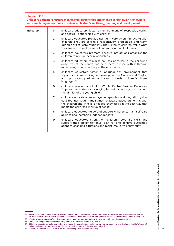| <b>Standard 2.5</b> |                | Childcare educators nurture meaningful relationships and engage in high quality, enjoyable<br>and stimulating interactions to enhance children's wellbeing, learning and development.                                                                                                                |
|---------------------|----------------|------------------------------------------------------------------------------------------------------------------------------------------------------------------------------------------------------------------------------------------------------------------------------------------------------|
| <b>Indicators</b>   | $1_{\cdot}$    | childcare educators foster an environment of respectful, caring<br>and secure relationships with children;                                                                                                                                                                                           |
|                     | 2.             | childcare educators provide nurturing care when interacting with<br>children. They are sensitive, responsive <sup>54</sup> , predictable and warm<br>during physical care routines <sup>55</sup> . They listen to children, value what<br>they say, and stimulate verbal communication at all times; |
|                     | 3.             | childcare educators promote positive interactions amongst the<br>children to nurture peer relationships;                                                                                                                                                                                             |
|                     | 4.             | childcare educators minimise sources of stress in the children's<br>daily lives at the centre and help them to cope with it through<br>maintaining a calm and respectful environment;                                                                                                                |
|                     | 5.             | childcare educators foster a language-rich environment that<br>supports children's bilingual development in Maltese and English<br>and promotes positive attitudes towards children's home<br>languages <sup>56</sup> ;                                                                              |
|                     | 6.             | childcare educators adopt a Whole Centre Positive Behaviour<br>Approach to address challenging behaviour, in ways that respect<br>the dignity of the young child;                                                                                                                                    |
|                     | 7 <sub>1</sub> | childcare educators encourage independence during all physical<br>care routines. During mealtimes, childcare educators join in with<br>the children and, if help is needed, they assist in the best way that<br>meets the children's individual needs:                                               |
|                     | 8.             | childcare educators guide and support children to gain self-care<br>abilities and increasing independence <sup>57</sup> ;                                                                                                                                                                            |
|                     | 9.             | childcare educators strengthen children's core life skills and<br>support their ability to focus, plan for and achieve outcomes,<br>adapt to changing situations and resist impulsive behaviour <sup>58</sup> .                                                                                      |

<sup>54</sup> Responsive caregiving includes observing and responding to children's movements, sounds, gestures and verbal requests. Babies<br>respond to faces, gentle touch, cuddling, eye contact, smiles, vocalisations and gestures as Feeding, nappy changing/toileting, napping/sleeping routines and bathing are carried out by the designated carer.<br>
55 Refer to A Language Policy for the Early Years in Malta and Gozo (MEDE, 2015):

<sup>56</sup> Refer to A Language Policy for the Early Years in Malta and Gozo (MEDE, 2015):

<sup>57</sup> Childcare educators should be mindful to increase the complexity of skills step by step by observing and finding each child's 'zone' of being challenged but not frustrated (Centre on the Developing Child, Harvard Univer

<sup>58</sup> Executive Function Skills – Centre on the Developing Child, Harvard University.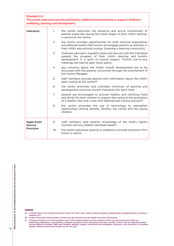| <b>Standard 2.6</b><br>The centre welcomes parents and fosters collaborative partnership to support children's<br>wellbeing, learning and development. |                |                                                                                                                                                                                                                                                |  |  |
|--------------------------------------------------------------------------------------------------------------------------------------------------------|----------------|------------------------------------------------------------------------------------------------------------------------------------------------------------------------------------------------------------------------------------------------|--|--|
| <b>Indicators</b>                                                                                                                                      | $\mathbf{1}$ . | the centre welcomes the presence and active involvement of<br>parents especially during the initial stages of their child's settling-<br>in period at the centre;                                                                              |  |  |
|                                                                                                                                                        | 2.             | the centre provides opportunities for both informal experiences<br>and planned events that involve and engage parents as partners in<br>their child's educational journey, fostering a learning community;                                     |  |  |
|                                                                                                                                                        | 3.             | childcare educators regularly share and discuss with the individual<br>parents the progress of their child's learning and holistic<br>development in a spirit of mutual respect. Formal one-to-one<br>meetings are held at least twice yearly; |  |  |
|                                                                                                                                                        | 4.             | any concerns about the child's overall development are to be<br>discussed with the parents concerned through the involvement of<br>the Centre Manager;                                                                                         |  |  |
|                                                                                                                                                        | 5.             | staff members provide parents with information about the child's<br>daily routine at the centre <sup>59</sup> ;                                                                                                                                |  |  |
|                                                                                                                                                        | 6.             | the centre promotes and cultivates continuity of learning and<br>development ensuring smooth transitions for each child;                                                                                                                       |  |  |
|                                                                                                                                                        | 7 <sub>1</sub> | parents are encouraged to provide healthy and nutritious food<br>and drinks for their children to support the centre in the promotion<br>of a healthy diet and in line with National and Centre policies <sup>60</sup> ;                       |  |  |
|                                                                                                                                                        | 8.             | the centre promotes the use of technology to strengthen<br>relationships among parents, families, the centre and the young<br>children.                                                                                                        |  |  |
| <b>Night ECEC</b><br>Service                                                                                                                           | 9.             | staff members seek parents' knowledge of the child's nightly<br>routines and any related individual needs <sup>61</sup> ;                                                                                                                      |  |  |
| Provision                                                                                                                                              | 10.            | the centre welcomes parents to establish a smooth transition from<br>home to centre.                                                                                                                                                           |  |  |

<sup>59</sup> Communication may include information about the child's daily routine (eating, drinking, toileting/nappy changing/bowel movements, napping, etc.)

<sup>60</sup> Further information about healthy nutrition may be obtained from the Health Promotion Directorate.

<sup>61</sup> Childcare educators are informed about each child's sleeping habits and any problems which may arise during the night (e.g.<br>bedwetting, nightmares, sleepwalking). Childcare educators ensure that parents provide a number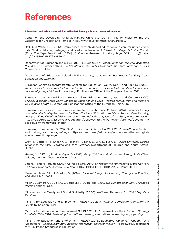## **References**

#### **All standards and indicators were informed by the following policy and research documents:**

Center on the Developing Child at Harvard University (2017). Three Principles to Improve Outcomes for Children and Families. http://www.developingchild.harvard.edu.

Dalli, C. & White, E.J. (2016). Group-based early childhood education and care for under-2-year olds: Quality debates, pedagogy and lived experience. In A. Farrell, S.L. Kagan & E. K.M. Tisdall. (Eds). *The Sage Handbook of Early Childhood Research*. London, Sage. DOI: https://dx.doi. org/10.4135/9781473920859.n3

Department of Education and Skills (2016). *A Guide to Early-years Education-focused Inspection (EYEI) in Early-years Settings Participating in the Early Childhood Care and Education (ECCE) Programme.* Dublin.

Department of Education, Ireland (2013). *Learning to learn: A Framework for Early Years Education and Learning.*

European Commission/Directorate-General for Education, Youth, Sport and Culture (2020). *Toolkit for inclusive early childhood education and care – providing high quality education and care to all young children*. Luxembourg: Publications Office of the European Union, 2021.

European Commission/Directorate-General for Education, Youth, Sport and Culture (2020). *ET2020 Working Group Early Childhood Education and Care – How to recruit, train and motivate well-qualified staff*. Luxembourg: Publications Office of the European Union, 2021.

European Commission/Directorate-General for Education and Culture (2014). *Proposal for key principles of a Quality Framework for Early Childhood Education and Care, Report of the Working Group on Early Childhood Education and Care under the auspices of the European Commission*. https://ec.europa.eu/assets/eac/education/policy/strategic-framework/archive/documents/ ecec-quality-framework\_en.pdf

European Commission (2020). *Digital Education Action Plan 2021-2027: Resetting education and training for the digital age*. https://ec.europa.eu/education/education-in-the-eu/digitaleducation-action-plan\_en

Grey, T., Corbett, M., Sheerin, J., Heeney, T., Ring, E., & O'Sullivan, L. (2019) *Universal Design Guidelines for Early Learning and care Settings*. Department of Children and Youth Affairs: Dublin.

Harms, M., Clifford, R. M., & Cryer, D. (2015). *Early Childhood Environment Rating Scale* (Third edition). London: Teachers College Press.

Litjens, I. and M. Taguma (2010), *Revised Literature Overview for the 7th Meeting of the Network on Early Childhood Education and Care*, EDU/EDPC/ECEC (2010)3/REV1, Paris: OECD.

Meyer, A., Rose, D.H., & Gordon, D. (2014). *Universal Design for Learning: Theory and Practice*, Wakefield, MA: CAST.

Miller, L., Cameron, C., Dalli, C., & Barbour, N. (2018) (eds) *The SAGE Handbook of Early Childhood Policy*. London: Sage.

Minister for the Family and Social Solidarity (2006). *National Standards for Child Day Care Facilities.*

Ministry for Education and Employment (MEDE) (2012). *A National Curriculum Framework for All*. Malta: Salesian Press.

Ministry for Education and Employment (MEDE) (2014). *Framework for the Education Strategy for Malta 2014-2024: Sustaining foundations, creating alternatives, increasing employability.* 

Ministry for Education and Employment (MEDE) (2015). *Educators' Guide for Pedagogy and Assessment - Using a Learning Outcomes Approach: Toolkit for the Early Years Cycle*. Department for Quality and Standards in Education.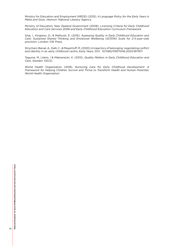Ministry for Education and Employment (MEDE) (2015). *A Language Policy for the Early Years in Malta and Gozo. Hamrun*: National Literacy Agency.

Ministry of Education, New Zealand Government (2008). *Licensing Criteria for Early Childhood Education and Care Services 2008 and Early Childhood Education Curriculum Framework*.

Siraj, I., Kingston, D., & Melhuish, E. (2015). *Assessing Quality in Early Childhood Education and Care: Sustained Shared Thinking and Emotional Wellbeing (SSTEW) Scale for 2-5-year-olds provision*. London: IOE Press.

Strycharz-Banaś, A., Dalli, C., & Meyerhoff, M. (2020) A trajectory of belonging: negotiating conflict and identity in an early childhood centre, *Early Years*, DOI: 10.1080/09575146.2020.1817871

Taguma, M, Litens, I & Makowiecki, K. (2013). *Quality Matters in Early Childhood Education and Care. Sweden*: OECD.

World Health Organisation (2018). *Nurturing Care for Early Childhood Development: A Framework for Helping Children Survive and Thrive to Transform Health and Human Potential*. World Health Organisation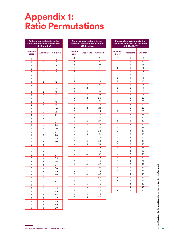## **Appendix 1: Ratio Permutations**

#### **Ratios when assistants to the childcare educator are included (0-12 months)** Qualified Assistant Children 1 5 1 6 1 7 1 8 1 9 2 | 2 | 10 2 | 2 | 11 2 | 2 | 12 2 13 2 14 2 15 3 16 3 | 3 | 17 3 18 3 19 3 20 3 21 4 22 4 23 4 4 24 4 25 4 26 4 27 5 28 5 29  $5 \quad 5 \quad 30$ 6 | 5 | 31 6  $5 \times 32$  $6 \t 5 \t 33$  $6 \t 6 \t 34$  $6 \mid 6 \mid 35$  6 36 6 37 6 38 6 39 7 40 7 41 7 42 7 43 7 44 7 45 8 46 8 | 8 | 47 8 8 48 8 49

| Qualified<br>Carer | <b>Assistant</b>          | Children        |
|--------------------|---------------------------|-----------------|
| ī                  | $\overline{1}$            | 8               |
| ī                  | $\overline{1}$            | $\overline{9}$  |
| ī                  | 1                         | $\overline{10}$ |
| $\overline{2}$     | $\overline{1}$            | $\overline{11}$ |
| $\overline{2}$     | 1                         | $\overline{12}$ |
| $\overline{2}$     | $\overline{1}$            | $\overline{13}$ |
| $\overline{2}$     | $\overline{1}$            | $\overline{14}$ |
| $\overline{2}$     | $\overline{1}$            | $\overline{15}$ |
| $\overline{2}$     | $\overline{2}$            | $\overline{16}$ |
| $\overline{2}$     | $\overline{2}$            | $\overline{17}$ |
| $\overline{2}$     | $\overline{2}$            | $\overline{18}$ |
| $\overline{2}$     | $\overline{2}$            | $\overline{19}$ |
| $\overline{2}$     | $\overline{2}$            | $\overline{20}$ |
| 3                  | $\overline{2}$            | $\overline{21}$ |
| 3                  | $\overline{2}$            | $\overline{22}$ |
| 3                  | $\overline{2}$            | $\overline{23}$ |
| 3                  | $\overline{2}$            | $\overline{24}$ |
| $\overline{3}$     | $\overline{2}$            | $\overline{25}$ |
| 3                  | 3                         | $\overline{26}$ |
| $\overline{3}$     | $\overline{3}$            | $\overline{27}$ |
| $\overline{3}$     | 3                         | 28              |
| $\overline{3}$     | $\overline{3}$            | 29              |
| $\overline{3}$     | $\overline{\mathcal{Z}}$  | $\overline{30}$ |
| $\overline{4}$     | 3                         | 31              |
| $\overline{4}$     | $\overline{\overline{3}}$ | $\overline{32}$ |
| $\overline{4}$     | 3                         | $\overline{33}$ |
| $\overline{4}$     | $\overline{3}$            | $\overline{34}$ |
| $\overline{4}$     | $\overline{\overline{3}}$ | $\overline{35}$ |
| $\overline{4}$     | $\overline{4}$            | 36              |
| $\overline{4}$     | 4                         | $\overline{37}$ |
| $\overline{4}$     | $\overline{4}$            | $\overline{38}$ |
| $\overline{4}$     | $\overline{4}$            | 39              |
| $\overline{4}$     | 4                         | 40              |
| 5                  | 4                         | 41              |
| 5                  | 4                         | 42              |
| 5                  | 4                         | 43              |
| 5                  | 4                         | 44              |
| 5                  | 4                         | 45              |
| 5                  | 5                         | 46              |
| 5                  | 5                         | $\overline{47}$ |
| 5                  | 5                         | 48              |
| 5                  | 5                         | 49              |
| 5                  | $\overline{5}$            | $\overline{50}$ |
|                    |                           |                 |

**Ratios when assistants to the childcare educator are included (13-24mths)**

#### **Ratios when assistants to the childcare educator are included (25-36mths)62**

| Qualified<br>Carer      | <b>Assistant</b>         | Children        |
|-------------------------|--------------------------|-----------------|
| 1                       | ī                        | 10              |
| 1                       | 1                        | 11              |
| $\overline{1}$          | $\overline{1}$           | $\overline{12}$ |
| $\overline{2}$          | 1                        | $\overline{13}$ |
| $\overline{2}$          | 1                        | $\overline{14}$ |
| $\overline{2}$          | ī                        | $\overline{15}$ |
| $\overline{2}$          | 1                        | 16              |
| $\overline{2}$          | $\overline{1}$           | 17              |
| $\overline{2}$          | $\overline{1}$           | 18              |
| $\overline{2}$          | $\overline{2}$           | 19              |
| $\overline{2}$          | $\overline{2}$           | $\overline{20}$ |
| $\overline{2}$          | $\overline{2}$           | $\overline{21}$ |
| $\overline{2}$          | $\overline{2}$           | $\overline{22}$ |
| $\overline{2}$          | $\overline{2}$           | $\overline{23}$ |
| $\overline{2}$          | $\overline{2}$           | $\overline{24}$ |
| $\overline{3}$          | $\overline{2}$           | $\overline{25}$ |
| $\overline{3}$          | $\overline{2}$           | 26              |
| $\overline{3}$          | $\overline{2}$           | $\overline{27}$ |
| $\overline{3}$          | $\overline{2}$           | 28              |
| $\overline{\mathbf{z}}$ | $\overline{2}$           | 29              |
| $\overline{3}$          | $\overline{2}$           | 30              |
| $\overline{3}$          | $\overline{3}$           | $\overline{31}$ |
| $\overline{3}$          | $\overline{3}$           | $\overline{32}$ |
| $\overline{3}$          | $\overline{3}$           | 33              |
| $\overline{3}$          | 3                        | 34              |
| $\overline{3}$          | $\overline{3}$           | $\overline{35}$ |
| $\overline{3}$          | $\overline{3}$           | 36              |
| $\overline{4}$          | $\overline{3}$           | $\overline{37}$ |
| $\overline{4}$          | $\overline{3}$           | 38              |
| $\overline{4}$          | 3                        | 39              |
| $\overline{4}$          | $\overline{3}$           | 40              |
| $\overline{4}$          | $\overline{3}$           | $\overline{41}$ |
| $\overline{4}$          | $\overline{3}$           | 42              |
| $\overline{4}$          | $\overline{4}$           | 43              |
| 4                       | $\overline{\mathcal{L}}$ | 44              |
| $\overline{4}$          | $\overline{4}$           | 45              |
| $\overline{4}$          | $\overline{4}$           | 46              |
| $\overline{4}$          | $\overline{4}$           | 47              |
| 4                       | $\overline{4}$           | 48              |
| 5                       | $\overline{4}$           | 49              |
| 5                       | $\overline{4}$           | 50              |

Vational Standards for Early Childhood Education and Care Services (0-3 Years) **National Standards for Early Childhood Education and Care Services (0-3 Years)**

62 These ratio permutations apply also for the mixed group.

9 8 50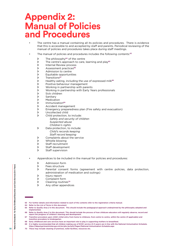### **Appendix 2: Manual of Policies**  and Procedures

- The centre has a manual containing all its policies and procedures. There is evidence that this is accessible to and accepted by staff and parents. Periodical reviewing of the manual of policies and procedures takes place during staff meetings.
- The manual of policies and procedures includes the following contents:<sup>63</sup>
	- > The philosophy<sup>64</sup> of the centre
	- > The centre's approach to care, learning and play<sup>65</sup>
	- > Internal Review process
	- > Assessment practices<sup>66</sup>
	- › Admission to centre
	- › Equitable opportunities
	- > Transitions<sup>67</sup>
	- > Healthy eating, including the use of expressed milk<sup>68</sup>
	- > Positive behaviour management
	- **>** Working in partnership with parents
	- › Working in partnership with Early Years professionals
	- › Sick children
	- > Sanitary
	- > Medication
	- > Immunization<sup>69</sup>
	- > Accident management
	- › Emergency preparedness plan (Fire safety and evacuation)
	- › Uncollected child
	- › Child protection, to include: *Safety and security of children Suspected abuse Children's rights*
	- > Data protection, to include: *Child's records keeping Staff record keeping*
	- > Complaints about the service
	- › Whistle blowing
	- > Staff recruitment
	- > Staff development
	- > Staff supervision
- Appendices to be included in the manual for policies and procedures:
	- › Admission form
	- > Fees structure
	- › Parental consent forms (agreement with centre policies, data protection, administration of medication and outings)
	- > Injury report
	- › Complaint form
	- > Cleaning routines<sup>70</sup>
	- > Any other appendices

64 Refer to the *List of Terms* in this document

<sup>63</sup> For further details and information related to each of the contents refer to the registration criteria manual.

<sup>65</sup> Refer to *Quality Area 2* in this document. This should include the pedagogical approach underpinned by the philosophy adopted and implemented.

<sup>66</sup> Refer to *Quality Area 2* in this document. This should include the process of how childcare educators will regularly observe, record and report the progress of children's learning and development.

<sup>67</sup> Transition procedure upon child's initial entry from home to childcare, from centre to centre, within the centre (if applicable) and transition procedure to kindergarten.

<sup>68</sup> Early childhood and care services have an important role to play in supporting mothers to breastfeed.

<sup>69</sup> It is highly recommended that all children making use of ECEC service (0-3 years) are in line with the National Immunisation Schedule. https://deputyprimeminister.gov.mt/en/phc/pchyhi/Pages/National-Immunisation-Schedule.aspx

<sup>70</sup> These may include cleaning of premises, toilet facilities, resources etc.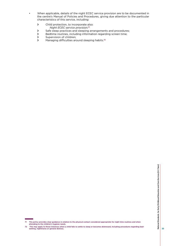- When applicable, details of the night ECEC service provision are to be documented in the centre's Manual of Policies and Procedures, giving due attention to the particular characteristics of this service, including:
	- › Child protection, to incorporate also: *Night ECEC service provision;*<sup>71</sup>
	- > Safe sleep practices and sleeping arrangements and procedures;<br>
	> Bedtime routines, including information regarding screen time:
	- Bedtime routines, including information regarding screen time;
	- > Supervision of children;<br>> Managing difficulties ard
	- Managing difficulties around sleeping habits.<sup>72</sup>

<sup>71</sup> This policy provides clear guidance in relation to the physical contact considered appropriate for night time routines and when attending to the children's hygiene needs.

<sup>72</sup> This may apply to those instances when a child fails to settle to sleep or becomes distressed, including procedures regarding bed-wetting, nightmares or general distress.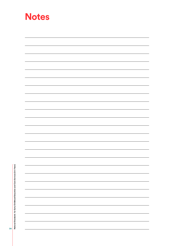| <b>Notes</b> |  |
|--------------|--|
|              |  |
|              |  |
|              |  |
|              |  |
|              |  |
|              |  |
|              |  |
|              |  |
|              |  |
|              |  |
|              |  |
|              |  |
|              |  |
|              |  |
|              |  |
|              |  |
|              |  |
|              |  |
|              |  |
|              |  |
|              |  |
|              |  |
|              |  |
|              |  |
|              |  |
|              |  |

National Standards for Early Childhood Education and Care Services (0-3 Years) **National Standards for Early Childhood Education and Care Services (0-3 Years)**